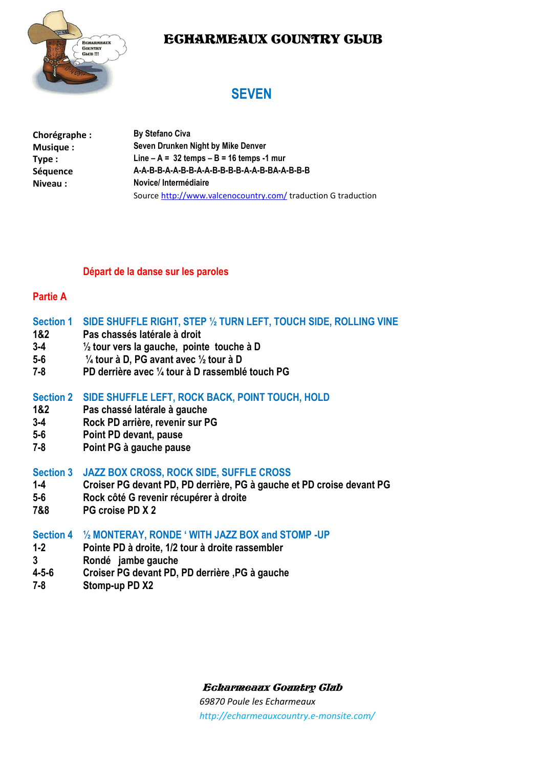### ECHARMEAUX COUNTRY CLUB



### **SEVEN**

| Chorégraphe : | <b>By Stefano Civa</b>                                        |
|---------------|---------------------------------------------------------------|
| Musique:      | Seven Drunken Night by Mike Denver                            |
| Type:         | Line $-A = 32$ temps $-B = 16$ temps -1 mur                   |
| Séquence      | A-A-B-B-A-A-B-B-A-A-B-B-B-B-A-A-B-BA-A-B-B-B-B                |
| Niveau:       | Novice/Intermédiaire                                          |
|               | Source http://www.valcenocountry.com/ traduction G traduction |

#### **Départ de la danse sur les paroles**

#### **Partie A**

#### **Section 1 SIDE SHUFFLE RIGHT, STEP ½ TURN LEFT, TOUCH SIDE, ROLLING VINE**

- **1&2 Pas chassés latérale à droit**
- **3-4 ½ tour vers la gauche, pointe touche à D**
- **5-6 ¼ tour à D, PG avant avec ½ tour à D**
- **7-8 PD derrière avec ¼ tour à D rassemblé touch PG**

#### **Section 2 SIDE SHUFFLE LEFT, ROCK BACK, POINT TOUCH, HOLD**

- **1&2 Pas chassé latérale à gauche**
- **3-4 Rock PD arrière, revenir sur PG**
- **5-6 Point PD devant, pause**
- **7-8 Point PG à gauche pause**

#### **Section 3 JAZZ BOX CROSS, ROCK SIDE, SUFFLE CROSS**

- **1-4 Croiser PG devant PD, PD derrière, PG à gauche et PD croise devant PG**
- **5-6 Rock côté G revenir récupérer à droite**
- **7&8 PG croise PD X 2**

#### **Section 4 ½ MONTERAY, RONDE ' WITH JAZZ BOX and STOMP -UP**

- **1-2 Pointe PD à droite, 1/2 tour à droite rassembler**
- **3 Rondé jambe gauche**
- **4-5-6 Croiser PG devant PD, PD derrière ,PG à gauche**
- **7-8 Stomp-up PD X2**

Echarmeaux Country Club

*69870 Poule les Echarmeaux http://echarmeauxcountry.e-monsite.com/*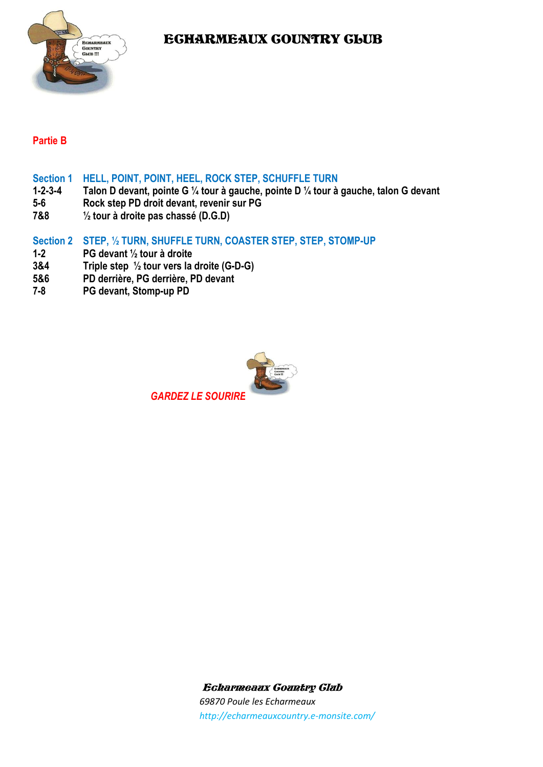EGHARMEAUX GOUNTRY GLUB



#### **Partie B**

- **Section 1 HELL, POINT, POINT, HEEL, ROCK STEP, SCHUFFLE TURN**
- **1-2-3-4 Talon D devant, pointe G ¼ tour à gauche, pointe D ¼ tour à gauche, talon G devant**
- **5-6 Rock step PD droit devant, revenir sur PG**
- **7&8 ½ tour à droite pas chassé (D.G.D)**

#### **Section 2 STEP, ½ TURN, SHUFFLE TURN, COASTER STEP, STEP, STOMP-UP**

- **1-2 PG devant ½ tour à droite**
- **3&4 Triple step ½ tour vers la droite (G-D-G)**
- **5&6 PD derrière, PG derrière, PD devant**
- **7-8 PG devant, Stomp-up PD**



Echarmeaux Country Club *69870 Poule les Echarmeaux http://echarmeauxcountry.e-monsite.com/*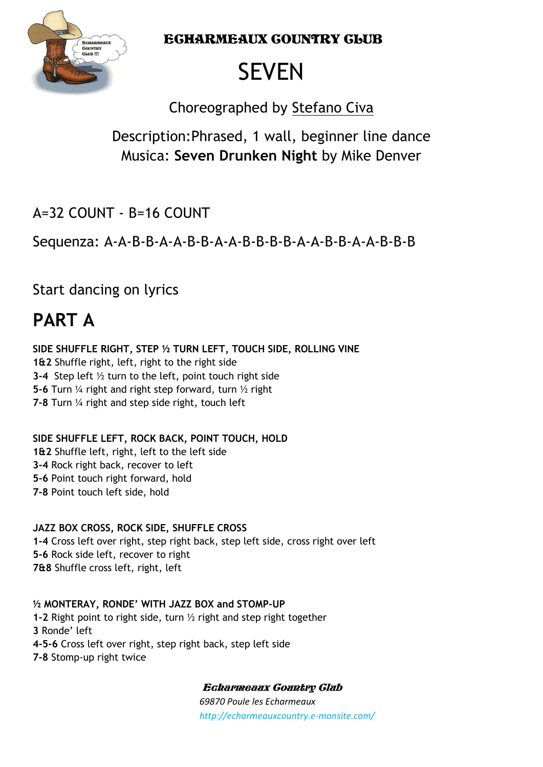ECHARMEAUX COUNTRY CLUB



# **SEVEN**

Choreographed by Stefano Civa

## Description:Phrased, 1 wall, beginner line dance Musica: **Seven Drunken Night** by Mike Denver

 $A=32$  COUNT - B=16 COUNT

Sequenza: A-A-B-B-A-A-B-B-A-A-B-B-B-B-A-A-B-B-A-A-B-B-B

Start dancing on lyrics

# **PART A**

**SIDE SHUFFLE RIGHT, STEP ½ TURN LEFT, TOUCH SIDE, ROLLING VINE 1&2** Shuffle right, left, right to the right side **3-4** Step left ½ turn to the left, point touch right side **5-6** Turn ¼ right and right step forward, turn ½ right **7-8** Turn ¼ right and step side right, touch left

**SIDE SHUFFLE LEFT, ROCK BACK, POINT TOUCH, HOLD 1&2** Shuffle left, right, left to the left side **3-4** Rock right back, recover to left **5-6** Point touch right forward, hold **7-8** Point touch left side, hold

**JAZZ BOX CROSS, ROCK SIDE, SHUFFLE CROSS 1-4** Cross left over right, step right back, step left side, cross right over left **5-6** Rock side left, recover to right **7&8** Shuffle cross left, right, left

**½ MONTERAY, RONDE' WITH JAZZ BOX and STOMP-UP 1-2** Right point to right side, turn ½ right and step right together **3** Ronde' left **4-5-6** Cross left over right, step right back, step left side **7-8** Stomp-up right twice

Echarmeaux Country Club

*69870 Poule les Echarmeaux http://echarmeauxcountry.e-monsite.com/*